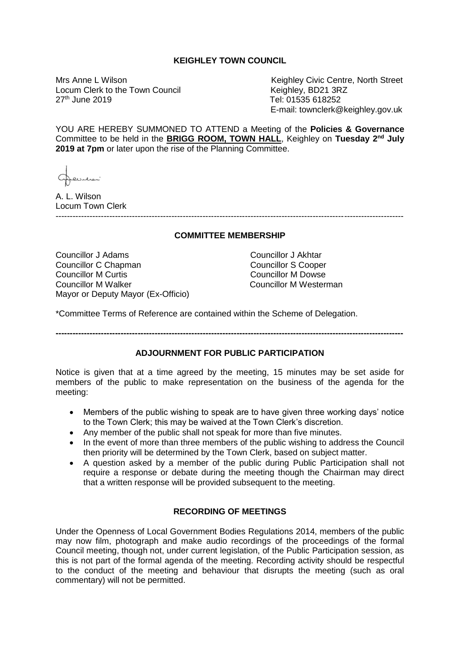## **KEIGHLEY TOWN COUNCIL**

Locum Clerk to the Town Council<br>27<sup>th</sup> June 2019

Mrs Anne L Wilson<br>
Locum Clerk to the Town Council<br>
Locum Clerk to the Town Council<br>
Cocum Clerk to the Town Council<br>
Locum Clerk to the Town Council Tel: 01535 618252 E-mail: townclerk@keighley.gov.uk

YOU ARE HEREBY SUMMONED TO ATTEND a Meeting of the **Policies & Governance** Committee to be held in the **BRIGG ROOM, TOWN HALL**, Keighley on **Tuesday 2nd July 2019 at 7pm** or later upon the rise of the Planning Committee.

A. L. Wilson Locum Town Clerk

---------------------------------------------------------------------------------------------------------------------------

#### **COMMITTEE MEMBERSHIP**

Councillor J Adams Councillor J Akhtar Councillor C Chapman Councillor S Cooper Councillor M Curtis Councillor M Dowse Councillor M Walker Councillor M Westerman Mayor or Deputy Mayor (Ex-Officio)

\*Committee Terms of Reference are contained within the Scheme of Delegation.

**---------------------------------------------------------------------------------------------------------------------------**

# **ADJOURNMENT FOR PUBLIC PARTICIPATION**

Notice is given that at a time agreed by the meeting, 15 minutes may be set aside for members of the public to make representation on the business of the agenda for the meeting:

- Members of the public wishing to speak are to have given three working days' notice to the Town Clerk; this may be waived at the Town Clerk's discretion.
- Any member of the public shall not speak for more than five minutes.
- In the event of more than three members of the public wishing to address the Council then priority will be determined by the Town Clerk, based on subject matter.
- A question asked by a member of the public during Public Participation shall not require a response or debate during the meeting though the Chairman may direct that a written response will be provided subsequent to the meeting.

## **RECORDING OF MEETINGS**

Under the Openness of Local Government Bodies Regulations 2014, members of the public may now film, photograph and make audio recordings of the proceedings of the formal Council meeting, though not, under current legislation, of the Public Participation session, as this is not part of the formal agenda of the meeting. Recording activity should be respectful to the conduct of the meeting and behaviour that disrupts the meeting (such as oral commentary) will not be permitted.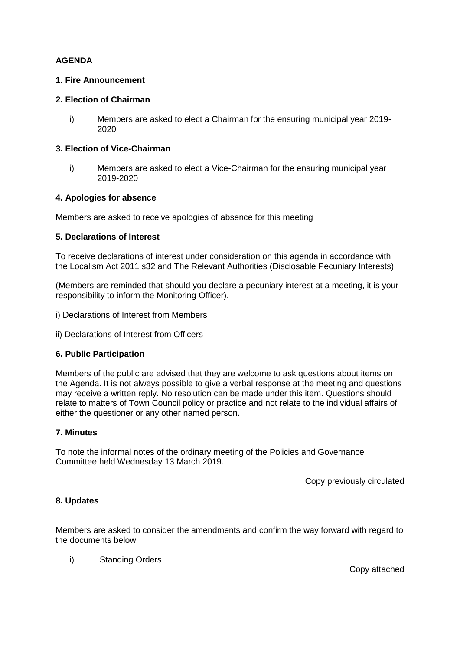# **AGENDA**

### **1. Fire Announcement**

### **2. Election of Chairman**

i) Members are asked to elect a Chairman for the ensuring municipal year 2019- 2020

# **3. Election of Vice-Chairman**

i) Members are asked to elect a Vice-Chairman for the ensuring municipal year 2019-2020

## **4. Apologies for absence**

Members are asked to receive apologies of absence for this meeting

#### **5. Declarations of Interest**

To receive declarations of interest under consideration on this agenda in accordance with the Localism Act 2011 s32 and The Relevant Authorities (Disclosable Pecuniary Interests)

(Members are reminded that should you declare a pecuniary interest at a meeting, it is your responsibility to inform the Monitoring Officer).

- i) Declarations of Interest from Members
- ii) Declarations of Interest from Officers

## **6. Public Participation**

Members of the public are advised that they are welcome to ask questions about items on the Agenda. It is not always possible to give a verbal response at the meeting and questions may receive a written reply. No resolution can be made under this item. Questions should relate to matters of Town Council policy or practice and not relate to the individual affairs of either the questioner or any other named person.

## **7. Minutes**

To note the informal notes of the ordinary meeting of the Policies and Governance Committee held Wednesday 13 March 2019.

Copy previously circulated

#### **8. Updates**

Members are asked to consider the amendments and confirm the way forward with regard to the documents below

i) Standing Orders

Copy attached